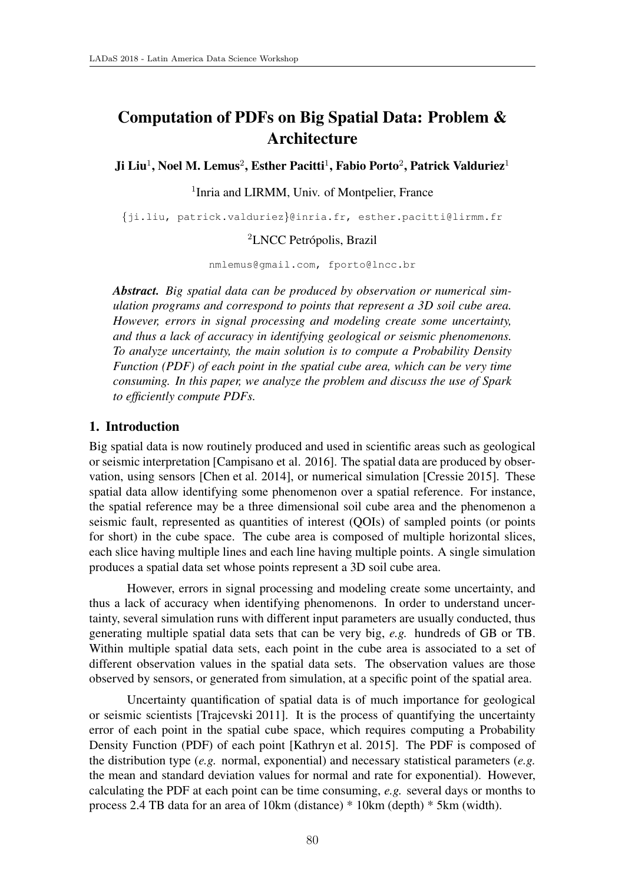# Computation of PDFs on Big Spatial Data: Problem & **Architecture**

Ji Liu<sup>1</sup>, Noel M. Lemus<sup>2</sup>, Esther Pacitti<sup>1</sup>, Fabio Porto<sup>2</sup>, Patrick Valduriez<sup>1</sup>

## <sup>1</sup>Inria and LIRMM, Univ. of Montpelier, France

*{*ji.liu, patrick.valduriez*}*@inria.fr, esther.pacitti@lirmm.fr

## <sup>2</sup>LNCC Petrópolis, Brazil

nmlemus@gmail.com, fporto@lncc.br

*Abstract. Big spatial data can be produced by observation or numerical simulation programs and correspond to points that represent a 3D soil cube area. However, errors in signal processing and modeling create some uncertainty, and thus a lack of accuracy in identifying geological or seismic phenomenons. To analyze uncertainty, the main solution is to compute a Probability Density Function (PDF) of each point in the spatial cube area, which can be very time consuming. In this paper, we analyze the problem and discuss the use of Spark to efficiently compute PDFs.*

## 1. Introduction

Big spatial data is now routinely produced and used in scientific areas such as geological or seismic interpretation [Campisano et al. 2016]. The spatial data are produced by observation, using sensors [Chen et al. 2014], or numerical simulation [Cressie 2015]. These spatial data allow identifying some phenomenon over a spatial reference. For instance, the spatial reference may be a three dimensional soil cube area and the phenomenon a seismic fault, represented as quantities of interest (QOIs) of sampled points (or points for short) in the cube space. The cube area is composed of multiple horizontal slices, each slice having multiple lines and each line having multiple points. A single simulation produces a spatial data set whose points represent a 3D soil cube area.

However, errors in signal processing and modeling create some uncertainty, and thus a lack of accuracy when identifying phenomenons. In order to understand uncertainty, several simulation runs with different input parameters are usually conducted, thus generating multiple spatial data sets that can be very big, *e.g.* hundreds of GB or TB. Within multiple spatial data sets, each point in the cube area is associated to a set of different observation values in the spatial data sets. The observation values are those observed by sensors, or generated from simulation, at a specific point of the spatial area.

Uncertainty quantification of spatial data is of much importance for geological or seismic scientists [Trajcevski 2011]. It is the process of quantifying the uncertainty error of each point in the spatial cube space, which requires computing a Probability Density Function (PDF) of each point [Kathryn et al. 2015]. The PDF is composed of the distribution type (*e.g.* normal, exponential) and necessary statistical parameters (*e.g.* the mean and standard deviation values for normal and rate for exponential). However, calculating the PDF at each point can be time consuming, *e.g.* several days or months to process 2.4 TB data for an area of 10km (distance) \* 10km (depth) \* 5km (width).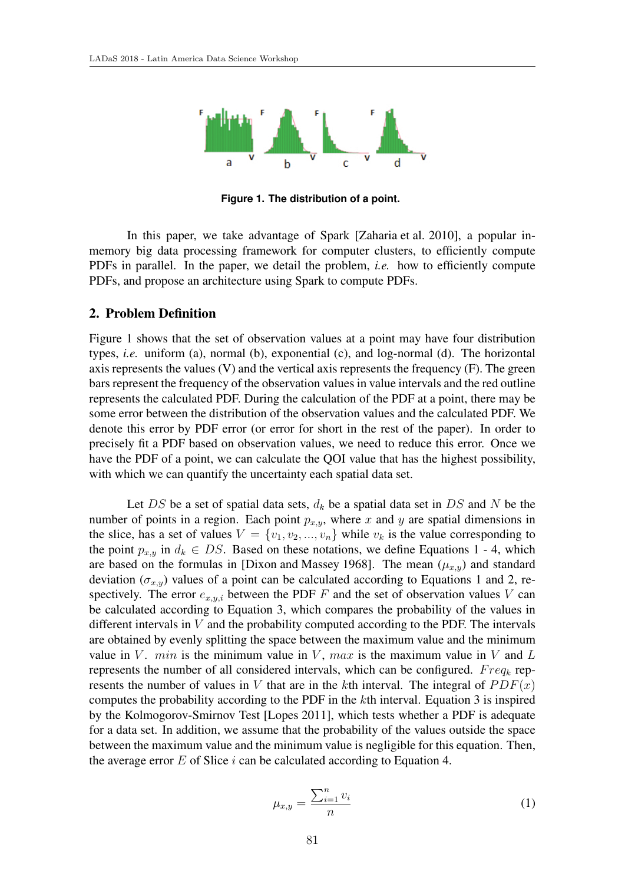

**Figure 1. The distribution of a point.**

In this paper, we take advantage of Spark [Zaharia et al. 2010], a popular inmemory big data processing framework for computer clusters, to efficiently compute PDFs in parallel. In the paper, we detail the problem, *i.e.* how to efficiently compute PDFs, and propose an architecture using Spark to compute PDFs.

#### 2. Problem Definition

Figure 1 shows that the set of observation values at a point may have four distribution types, *i.e.* uniform (a), normal (b), exponential (c), and log-normal (d). The horizontal axis represents the values  $(V)$  and the vertical axis represents the frequency  $(F)$ . The green bars represent the frequency of the observation values in value intervals and the red outline represents the calculated PDF. During the calculation of the PDF at a point, there may be some error between the distribution of the observation values and the calculated PDF. We denote this error by PDF error (or error for short in the rest of the paper). In order to precisely fit a PDF based on observation values, we need to reduce this error. Once we have the PDF of a point, we can calculate the QOI value that has the highest possibility, with which we can quantify the uncertainty each spatial data set.

Let *DS* be a set of spatial data sets, *d<sup>k</sup>* be a spatial data set in *DS* and *N* be the number of points in a region. Each point *px,y*, where *x* and *y* are spatial dimensions in the slice, has a set of values  $V = \{v_1, v_2, ..., v_n\}$  while  $v_k$  is the value corresponding to the point  $p_{x,y}$  in  $d_k \in DS$ . Based on these notations, we define Equations 1 - 4, which are based on the formulas in [Dixon and Massey 1968]. The mean  $(\mu_{x,y})$  and standard deviation  $(\sigma_{x,y})$  values of a point can be calculated according to Equations 1 and 2, respectively. The error  $e_{x,y,i}$  between the PDF  $F$  and the set of observation values  $V$  can be calculated according to Equation 3, which compares the probability of the values in different intervals in *V* and the probability computed according to the PDF. The intervals are obtained by evenly splitting the space between the maximum value and the minimum value in *V*. *min* is the minimum value in *V*, *max* is the maximum value in *V* and *L* represents the number of all considered intervals, which can be configured. *F req<sup>k</sup>* represents the number of values in *V* that are in the *k*th interval. The integral of  $PDF(x)$ computes the probability according to the PDF in the *k*th interval. Equation 3 is inspired by the Kolmogorov-Smirnov Test [Lopes 2011], which tests whether a PDF is adequate for a data set. In addition, we assume that the probability of the values outside the space between the maximum value and the minimum value is negligible for this equation. Then, the average error *E* of Slice *i* can be calculated according to Equation 4.

$$
\mu_{x,y} = \frac{\sum_{i=1}^{n} v_i}{n} \tag{1}
$$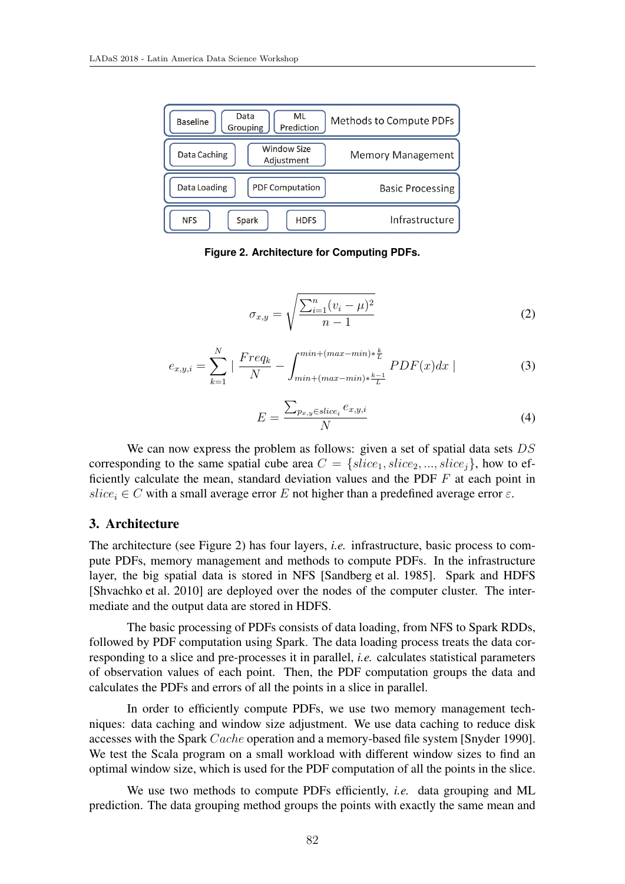

**Figure 2. Architecture for Computing PDFs.**

$$
\sigma_{x,y} = \sqrt{\frac{\sum_{i=1}^{n} (v_i - \mu)^2}{n - 1}}
$$
 (2)

$$
e_{x,y,i} = \sum_{k=1}^{N} \left| \frac{Freq_k}{N} - \int_{min + (max - min) * \frac{k-1}{L}}^{min + (max - min) * \frac{k}{L}} PDF(x) dx \right|
$$
 (3)

$$
E = \frac{\sum_{p_{x,y} \in slice_i} e_{x,y,i}}{N}
$$
 (4)

We can now express the problem as follows: given a set of spatial data sets *DS* corresponding to the same spatial cube area  $C = \{slice_1, slice_2, ..., slice_i\}$ , how to efficiently calculate the mean, standard deviation values and the PDF *F* at each point in  $slice_i \in C$  with a small average error *E* not higher than a predefined average error  $\varepsilon$ .

#### 3. Architecture

The architecture (see Figure 2) has four layers, *i.e.* infrastructure, basic process to compute PDFs, memory management and methods to compute PDFs. In the infrastructure layer, the big spatial data is stored in NFS [Sandberg et al. 1985]. Spark and HDFS [Shvachko et al. 2010] are deployed over the nodes of the computer cluster. The intermediate and the output data are stored in HDFS.

The basic processing of PDFs consists of data loading, from NFS to Spark RDDs, followed by PDF computation using Spark. The data loading process treats the data corresponding to a slice and pre-processes it in parallel, *i.e.* calculates statistical parameters of observation values of each point. Then, the PDF computation groups the data and calculates the PDFs and errors of all the points in a slice in parallel.

In order to efficiently compute PDFs, we use two memory management techniques: data caching and window size adjustment. We use data caching to reduce disk accesses with the Spark *Cache* operation and a memory-based file system [Snyder 1990]. We test the Scala program on a small workload with different window sizes to find an optimal window size, which is used for the PDF computation of all the points in the slice.

We use two methods to compute PDFs efficiently, *i.e.* data grouping and ML prediction. The data grouping method groups the points with exactly the same mean and